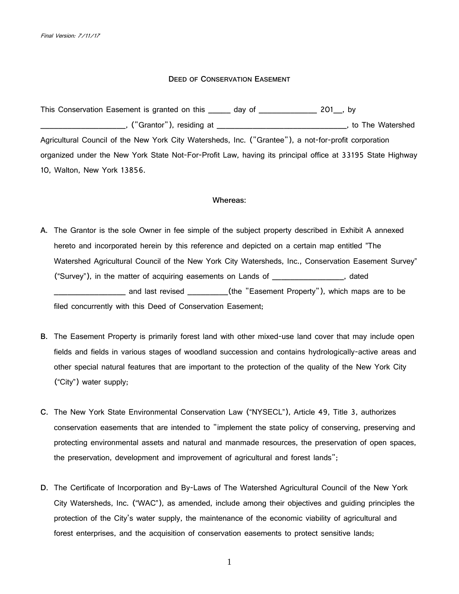### **DEED OF CONSERVATION EASEMENT**

This Conservation Easement is granted on this \_\_\_\_\_ day of \_\_\_\_\_\_\_\_\_\_\_\_\_ 201\_, by \_\_\_\_\_\_\_\_\_\_\_\_\_\_\_\_\_\_\_, ("Grantor"), residing at \_\_\_\_\_\_\_\_\_\_\_\_\_\_\_\_\_\_\_\_\_\_\_\_\_\_\_\_\_, to The Watershed Agricultural Council of the New York City Watersheds, Inc. ("Grantee"), a not-for-profit corporation organized under the New York State Not-For-Profit Law, having its principal office at 33195 State Highway 10, Walton, New York 13856.

#### **Whereas:**

- **A.** The Grantor is the sole Owner in fee simple of the subject property described in Exhibit A annexed hereto and incorporated herein by this reference and depicted on a certain map entitled "The Watershed Agricultural Council of the New York City Watersheds, Inc., Conservation Easement Survey" ("Survey"), in the matter of acquiring easements on Lands of \_\_\_\_\_\_\_\_\_\_\_\_\_\_\_\_, dated \_\_\_\_\_\_\_\_\_\_\_\_\_\_\_ and last revised \_\_\_\_\_\_\_\_\_\_\_(the "Easement Property"), which maps are to be filed concurrently with this Deed of Conservation Easement;
- **B.** The Easement Property is primarily forest land with other mixed-use land cover that may include open fields and fields in various stages of woodland succession and contains hydrologically-active areas and other special natural features that are important to the protection of the quality of the New York City ("City") water supply;
- **C.** The New York State Environmental Conservation Law ("NYSECL"), Article 49, Title 3, authorizes conservation easements that are intended to "implement the state policy of conserving, preserving and protecting environmental assets and natural and manmade resources, the preservation of open spaces, the preservation, development and improvement of agricultural and forest lands";
- **D**. The Certificate of Incorporation and By-Laws of The Watershed Agricultural Council of the New York City Watersheds, Inc. ("WAC"), as amended, include among their objectives and guiding principles the protection of the City's water supply, the maintenance of the economic viability of agricultural and forest enterprises, and the acquisition of conservation easements to protect sensitive lands;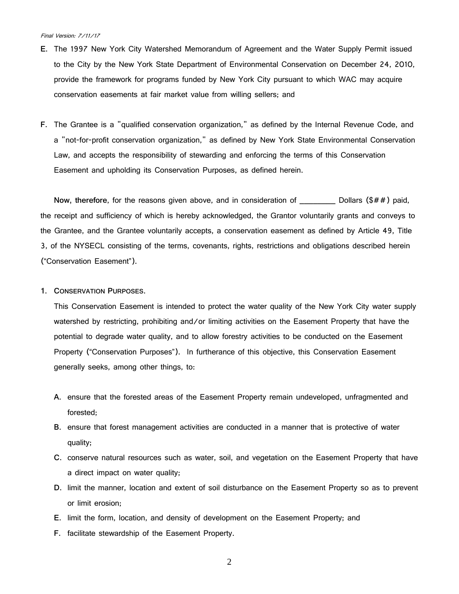- **E.** The 1997 New York City Watershed Memorandum of Agreement and the Water Supply Permit issued to the City by the New York State Department of Environmental Conservation on December 24, 2010, provide the framework for programs funded by New York City pursuant to which WAC may acquire conservation easements at fair market value from willing sellers; and
- **F.** The Grantee is a "qualified conservation organization," as defined by the Internal Revenue Code, and a "not-for-profit conservation organization," as defined by New York State Environmental Conservation Law, and accepts the responsibility of stewarding and enforcing the terms of this Conservation Easement and upholding its Conservation Purposes, as defined herein.

**Now, therefore**, for the reasons given above, and in consideration of \_\_\_\_\_\_\_\_ Dollars (\$##) paid, the receipt and sufficiency of which is hereby acknowledged, the Grantor voluntarily grants and conveys to the Grantee, and the Grantee voluntarily accepts, a conservation easement as defined by Article 49, Title 3, of the NYSECL consisting of the terms, covenants, rights, restrictions and obligations described herein ("Conservation Easement").

**1. CONSERVATION PURPOSES.**

This Conservation Easement is intended to protect the water quality of the New York City water supply watershed by restricting, prohibiting and/or limiting activities on the Easement Property that have the potential to degrade water quality, and to allow forestry activities to be conducted on the Easement Property ("Conservation Purposes"). In furtherance of this objective, this Conservation Easement generally seeks, among other things, to:

- **A.** ensure that the forested areas of the Easement Property remain undeveloped, unfragmented and forested;
- **B.** ensure that forest management activities are conducted in a manner that is protective of water quality;
- **C.** conserve natural resources such as water, soil, and vegetation on the Easement Property that have a direct impact on water quality;
- **D.** limit the manner, location and extent of soil disturbance on the Easement Property so as to prevent or limit erosion;
- **E.** limit the form, location, and density of development on the Easement Property; and
- **F.** facilitate stewardship of the Easement Property.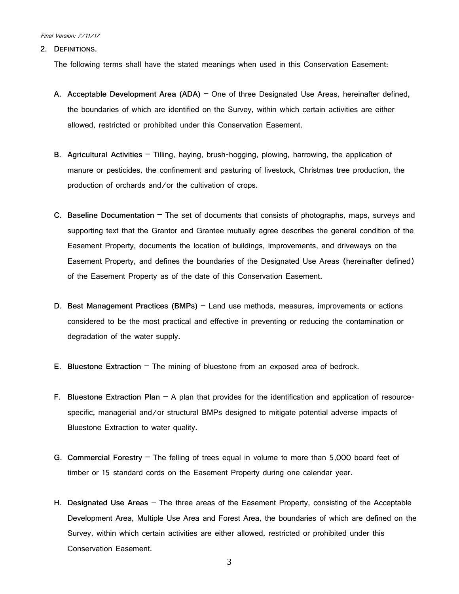**2. DEFINITIONS.**

The following terms shall have the stated meanings when used in this Conservation Easement:

- **A. Acceptable Development Area (ADA)** One of three Designated Use Areas, hereinafter defined, the boundaries of which are identified on the Survey, within which certain activities are either allowed, restricted or prohibited under this Conservation Easement.
- **B. Agricultural Activities** Tilling, haying, brush-hogging, plowing, harrowing, the application of manure or pesticides, the confinement and pasturing of livestock, Christmas tree production, the production of orchards and/or the cultivation of crops.
- **C**. **Baseline Documentation** The set of documents that consists of photographs, maps, surveys and supporting text that the Grantor and Grantee mutually agree describes the general condition of the Easement Property, documents the location of buildings, improvements, and driveways on the Easement Property, and defines the boundaries of the Designated Use Areas (hereinafter defined) of the Easement Property as of the date of this Conservation Easement.
- **D**. **Best Management Practices (BMPs)** Land use methods, measures, improvements or actions considered to be the most practical and effective in preventing or reducing the contamination or degradation of the water supply.
- **E**. **Bluestone Extraction** The mining of bluestone from an exposed area of bedrock.
- **F**. **Bluestone Extraction Plan** A plan that provides for the identification and application of resourcespecific, managerial and/or structural BMPs designed to mitigate potential adverse impacts of Bluestone Extraction to water quality.
- **G. Commercial Forestry** The felling of trees equal in volume to more than 5,000 board feet of timber or 15 standard cords on the Easement Property during one calendar year.
- **H. Designated Use Areas**  The three areas of the Easement Property, consisting of the Acceptable Development Area, Multiple Use Area and Forest Area, the boundaries of which are defined on the Survey, within which certain activities are either allowed, restricted or prohibited under this Conservation Easement.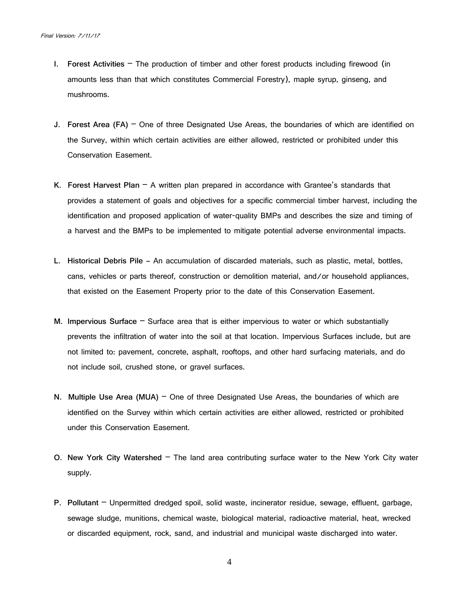- **I. Forest Activities**  The production of timber and other forest products including firewood (in amounts less than that which constitutes Commercial Forestry), maple syrup, ginseng, and mushrooms.
- **J. Forest Area (FA)** One of three Designated Use Areas, the boundaries of which are identified on the Survey, within which certain activities are either allowed, restricted or prohibited under this Conservation Easement.
- **K. Forest Harvest Plan** A written plan prepared in accordance with Grantee's standards that provides a statement of goals and objectives for a specific commercial timber harvest, including the identification and proposed application of water-quality BMPs and describes the size and timing of a harvest and the BMPs to be implemented to mitigate potential adverse environmental impacts.
- **L. Historical Debris Pile –** An accumulation of discarded materials, such as plastic, metal, bottles, cans, vehicles or parts thereof, construction or demolition material, and/or household appliances, that existed on the Easement Property prior to the date of this Conservation Easement.
- **M. Impervious Surface** Surface area that is either impervious to water or which substantially prevents the infiltration of water into the soil at that location. Impervious Surfaces include, but are not limited to: pavement, concrete, asphalt, rooftops, and other hard surfacing materials, and do not include soil, crushed stone, or gravel surfaces.
- **N. Multiple Use Area (MUA)** One of three Designated Use Areas, the boundaries of which are identified on the Survey within which certain activities are either allowed, restricted or prohibited under this Conservation Easement.
- **O**. **New York City Watershed**  The land area contributing surface water to the New York City water supply.
- **P**. **Pollutant**  Unpermitted dredged spoil, solid waste, incinerator residue, sewage, effluent, garbage, sewage sludge, munitions, chemical waste, biological material, radioactive material, heat, wrecked or discarded equipment, rock, sand, and industrial and municipal waste discharged into water.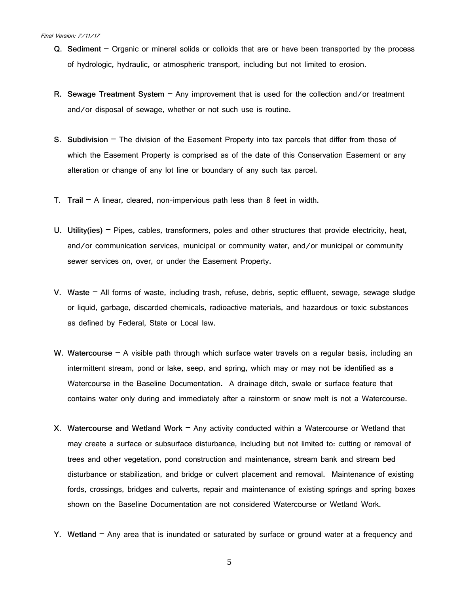- **Q. Sediment**  Organic or mineral solids or colloids that are or have been transported by the process of hydrologic, hydraulic, or atmospheric transport, including but not limited to erosion.
- **R. Sewage Treatment System** Any improvement that is used for the collection and/or treatment and/or disposal of sewage, whether or not such use is routine.
- **S. Subdivision** The division of the Easement Property into tax parcels that differ from those of which the Easement Property is comprised as of the date of this Conservation Easement or any alteration or change of any lot line or boundary of any such tax parcel.
- **T. Trail** A linear, cleared, non-impervious path less than 8 feet in width.
- **U. Utility(ies)** Pipes, cables, transformers, poles and other structures that provide electricity, heat, and/or communication services, municipal or community water, and/or municipal or community sewer services on, over, or under the Easement Property.
- **V. Waste** All forms of waste, including trash, refuse, debris, septic effluent, sewage, sewage sludge or liquid, garbage, discarded chemicals, radioactive materials, and hazardous or toxic substances as defined by Federal, State or Local law.
- **W. Watercourse** A visible path through which surface water travels on a regular basis, including an intermittent stream, pond or lake, seep, and spring, which may or may not be identified as a Watercourse in the Baseline Documentation. A drainage ditch, swale or surface feature that contains water only during and immediately after a rainstorm or snow melt is not a Watercourse.
- **X. Watercourse and Wetland Work** Any activity conducted within a Watercourse or Wetland that may create a surface or subsurface disturbance, including but not limited to: cutting or removal of trees and other vegetation, pond construction and maintenance, stream bank and stream bed disturbance or stabilization, and bridge or culvert placement and removal. Maintenance of existing fords, crossings, bridges and culverts, repair and maintenance of existing springs and spring boxes shown on the Baseline Documentation are not considered Watercourse or Wetland Work.
- **Y. Wetland** Any area that is inundated or saturated by surface or ground water at a frequency and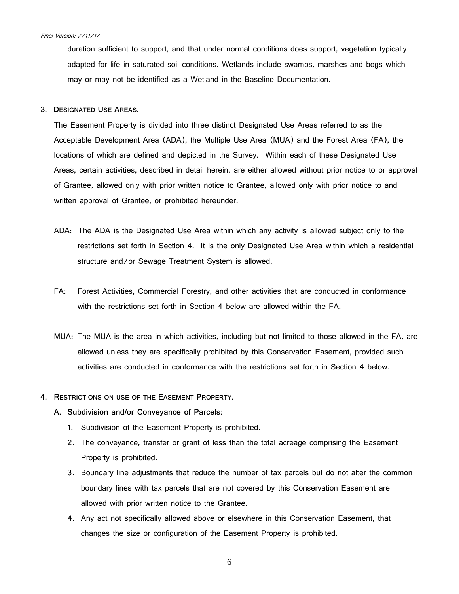duration sufficient to support, and that under normal conditions does support, vegetation typically adapted for life in saturated soil conditions. Wetlands include swamps, marshes and bogs which may or may not be identified as a Wetland in the Baseline Documentation.

**3. DESIGNATED USE AREAS.**

The Easement Property is divided into three distinct Designated Use Areas referred to as the Acceptable Development Area (ADA), the Multiple Use Area (MUA) and the Forest Area (FA), the locations of which are defined and depicted in the Survey. Within each of these Designated Use Areas, certain activities, described in detail herein, are either allowed without prior notice to or approval of Grantee, allowed only with prior written notice to Grantee, allowed only with prior notice to and written approval of Grantee, or prohibited hereunder.

- ADA: The ADA is the Designated Use Area within which any activity is allowed subject only to the restrictions set forth in Section 4. It is the only Designated Use Area within which a residential structure and/or Sewage Treatment System is allowed.
- FA: Forest Activities, Commercial Forestry, and other activities that are conducted in conformance with the restrictions set forth in Section 4 below are allowed within the FA.
- MUA: The MUA is the area in which activities, including but not limited to those allowed in the FA, are allowed unless they are specifically prohibited by this Conservation Easement, provided such activities are conducted in conformance with the restrictions set forth in Section 4 below.
- **4. RESTRICTIONS ON USE OF THE EASEMENT PROPERTY.**
	- **A. Subdivision and/or Conveyance of Parcels:**
		- 1. Subdivision of the Easement Property is prohibited.
		- 2. The conveyance, transfer or grant of less than the total acreage comprising the Easement Property is prohibited.
		- 3. Boundary line adjustments that reduce the number of tax parcels but do not alter the common boundary lines with tax parcels that are not covered by this Conservation Easement are allowed with prior written notice to the Grantee.
		- 4. Any act not specifically allowed above or elsewhere in this Conservation Easement, that changes the size or configuration of the Easement Property is prohibited.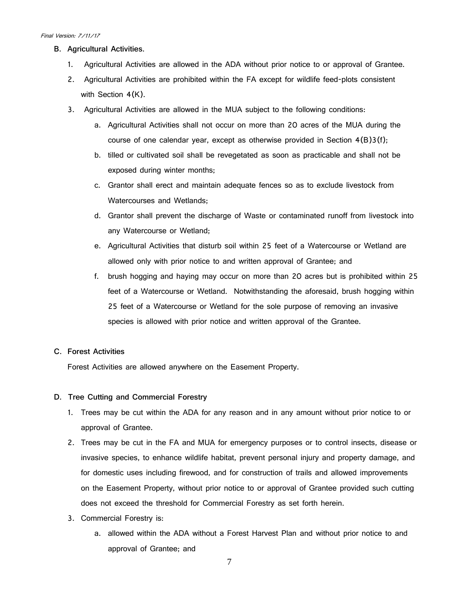- **B. Agricultural Activities.**
	- 1. Agricultural Activities are allowed in the ADA without prior notice to or approval of Grantee.
	- 2. Agricultural Activities are prohibited within the FA except for wildlife feed-plots consistent with Section 4(K).
	- 3. Agricultural Activities are allowed in the MUA subject to the following conditions:
		- a. Agricultural Activities shall not occur on more than 20 acres of the MUA during the course of one calendar year, except as otherwise provided in Section  $4(B)3(f)$ ;
		- b. tilled or cultivated soil shall be revegetated as soon as practicable and shall not be exposed during winter months;
		- c. Grantor shall erect and maintain adequate fences so as to exclude livestock from Watercourses and Wetlands;
		- d. Grantor shall prevent the discharge of Waste or contaminated runoff from livestock into any Watercourse or Wetland;
		- e. Agricultural Activities that disturb soil within 25 feet of a Watercourse or Wetland are allowed only with prior notice to and written approval of Grantee; and
		- f. brush hogging and haying may occur on more than 20 acres but is prohibited within 25 feet of a Watercourse or Wetland. Notwithstanding the aforesaid, brush hogging within 25 feet of a Watercourse or Wetland for the sole purpose of removing an invasive species is allowed with prior notice and written approval of the Grantee.

# **C. Forest Activities**

Forest Activities are allowed anywhere on the Easement Property.

## **D. Tree Cutting and Commercial Forestry**

- 1. Trees may be cut within the ADA for any reason and in any amount without prior notice to or approval of Grantee.
- 2. Trees may be cut in the FA and MUA for emergency purposes or to control insects, disease or invasive species, to enhance wildlife habitat, prevent personal injury and property damage, and for domestic uses including firewood, and for construction of trails and allowed improvements on the Easement Property, without prior notice to or approval of Grantee provided such cutting does not exceed the threshold for Commercial Forestry as set forth herein.
- 3. Commercial Forestry is:
	- a. allowed within the ADA without a Forest Harvest Plan and without prior notice to and approval of Grantee; and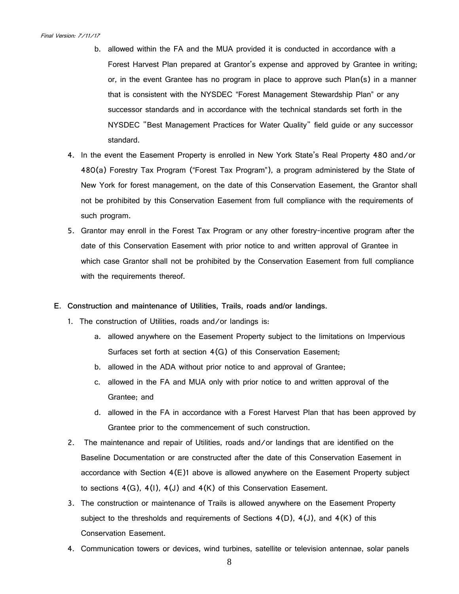- b. allowed within the FA and the MUA provided it is conducted in accordance with a Forest Harvest Plan prepared at Grantor's expense and approved by Grantee in writing; or, in the event Grantee has no program in place to approve such Plan(s) in a manner that is consistent with the NYSDEC "Forest Management Stewardship Plan" or any successor standards and in accordance with the technical standards set forth in the NYSDEC "Best Management Practices for Water Quality" field guide or any successor standard.
- 4. In the event the Easement Property is enrolled in New York State's Real Property 480 and/or 480(a) Forestry Tax Program ("Forest Tax Program"), a program administered by the State of New York for forest management, on the date of this Conservation Easement, the Grantor shall not be prohibited by this Conservation Easement from full compliance with the requirements of such program.
- 5. Grantor may enroll in the Forest Tax Program or any other forestry-incentive program after the date of this Conservation Easement with prior notice to and written approval of Grantee in which case Grantor shall not be prohibited by the Conservation Easement from full compliance with the requirements thereof.
- **E. Construction and maintenance of Utilities, Trails, roads and/or landings**.
	- 1. The construction of Utilities, roads and/or landings is:
		- a. allowed anywhere on the Easement Property subject to the limitations on Impervious Surfaces set forth at section 4(G) of this Conservation Easement;
		- b. allowed in the ADA without prior notice to and approval of Grantee;
		- c. allowed in the FA and MUA only with prior notice to and written approval of the Grantee; and
		- d. allowed in the FA in accordance with a Forest Harvest Plan that has been approved by Grantee prior to the commencement of such construction.
	- 2. The maintenance and repair of Utilities, roads and/or landings that are identified on the Baseline Documentation or are constructed after the date of this Conservation Easement in accordance with Section  $4(E)1$  above is allowed anywhere on the Easement Property subject to sections  $4(G)$ ,  $4(I)$ ,  $4(J)$  and  $4(K)$  of this Conservation Easement.
	- 3. The construction or maintenance of Trails is allowed anywhere on the Easement Property subject to the thresholds and requirements of Sections  $4(D)$ ,  $4(J)$ , and  $4(K)$  of this Conservation Easement.
	- 4. Communication towers or devices, wind turbines, satellite or television antennae, solar panels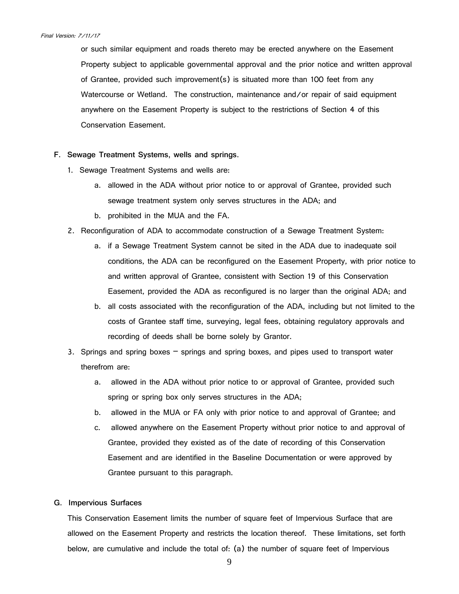or such similar equipment and roads thereto may be erected anywhere on the Easement Property subject to applicable governmental approval and the prior notice and written approval of Grantee, provided such improvement(s) is situated more than 100 feet from any Watercourse or Wetland. The construction, maintenance and/or repair of said equipment anywhere on the Easement Property is subject to the restrictions of Section 4 of this Conservation Easement.

- **F. Sewage Treatment Systems, wells and springs**.
	- 1. Sewage Treatment Systems and wells are:
		- a. allowed in the ADA without prior notice to or approval of Grantee, provided such sewage treatment system only serves structures in the ADA; and
		- b. prohibited in the MUA and the FA.
	- 2. Reconfiguration of ADA to accommodate construction of a Sewage Treatment System:
		- a. if a Sewage Treatment System cannot be sited in the ADA due to inadequate soil conditions, the ADA can be reconfigured on the Easement Property, with prior notice to and written approval of Grantee, consistent with Section 19 of this Conservation Easement, provided the ADA as reconfigured is no larger than the original ADA; and
		- b. all costs associated with the reconfiguration of the ADA, including but not limited to the costs of Grantee staff time, surveying, legal fees, obtaining regulatory approvals and recording of deeds shall be borne solely by Grantor.
	- 3. Springs and spring boxes springs and spring boxes, and pipes used to transport water therefrom are:
		- a. allowed in the ADA without prior notice to or approval of Grantee, provided such spring or spring box only serves structures in the ADA;
		- b. allowed in the MUA or FA only with prior notice to and approval of Grantee; and
		- c. allowed anywhere on the Easement Property without prior notice to and approval of Grantee, provided they existed as of the date of recording of this Conservation Easement and are identified in the Baseline Documentation or were approved by Grantee pursuant to this paragraph.

## **G. Impervious Surfaces**

This Conservation Easement limits the number of square feet of Impervious Surface that are allowed on the Easement Property and restricts the location thereof. These limitations, set forth below, are cumulative and include the total of: (a) the number of square feet of Impervious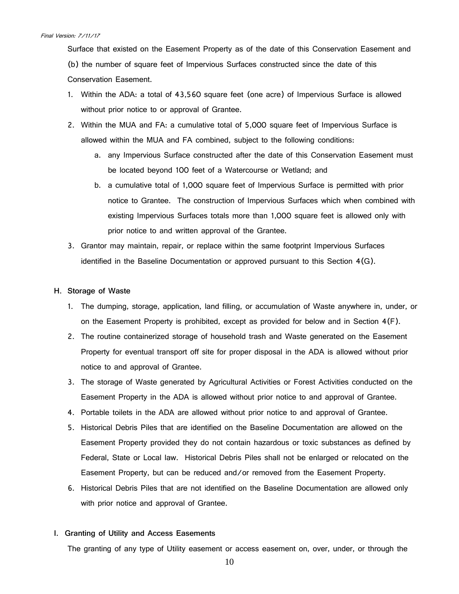Surface that existed on the Easement Property as of the date of this Conservation Easement and (b) the number of square feet of Impervious Surfaces constructed since the date of this Conservation Easement.

- 1. Within the ADA: a total of 43,560 square feet (one acre) of Impervious Surface is allowed without prior notice to or approval of Grantee.
- 2. Within the MUA and FA: a cumulative total of 5,000 square feet of Impervious Surface is allowed within the MUA and FA combined, subject to the following conditions:
	- a. any Impervious Surface constructed after the date of this Conservation Easement must be located beyond 100 feet of a Watercourse or Wetland; and
	- b. a cumulative total of 1,000 square feet of Impervious Surface is permitted with prior notice to Grantee. The construction of Impervious Surfaces which when combined with existing Impervious Surfaces totals more than 1,000 square feet is allowed only with prior notice to and written approval of the Grantee.
- 3. Grantor may maintain, repair, or replace within the same footprint Impervious Surfaces identified in the Baseline Documentation or approved pursuant to this Section 4(G).

## **H. Storage of Waste**

- 1. The dumping, storage, application, land filling, or accumulation of Waste anywhere in, under, or on the Easement Property is prohibited, except as provided for below and in Section 4(F).
- 2. The routine containerized storage of household trash and Waste generated on the Easement Property for eventual transport off site for proper disposal in the ADA is allowed without prior notice to and approval of Grantee.
- 3. The storage of Waste generated by Agricultural Activities or Forest Activities conducted on the Easement Property in the ADA is allowed without prior notice to and approval of Grantee.
- 4. Portable toilets in the ADA are allowed without prior notice to and approval of Grantee.
- 5. Historical Debris Piles that are identified on the Baseline Documentation are allowed on the Easement Property provided they do not contain hazardous or toxic substances as defined by Federal, State or Local law. Historical Debris Piles shall not be enlarged or relocated on the Easement Property, but can be reduced and/or removed from the Easement Property.
- 6. Historical Debris Piles that are not identified on the Baseline Documentation are allowed only with prior notice and approval of Grantee.

# **I. Granting of Utility and Access Easements**

The granting of any type of Utility easement or access easement on, over, under, or through the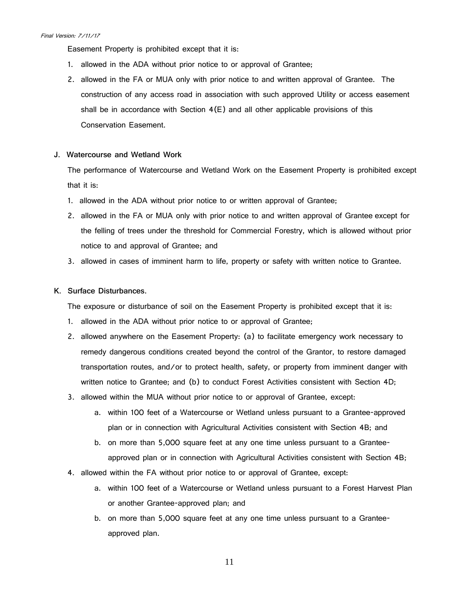Easement Property is prohibited except that it is:

- 1. allowed in the ADA without prior notice to or approval of Grantee;
- 2. allowed in the FA or MUA only with prior notice to and written approval of Grantee. The construction of any access road in association with such approved Utility or access easement shall be in accordance with Section  $4(E)$  and all other applicable provisions of this Conservation Easement.
- **J. Watercourse and Wetland Work**

The performance of Watercourse and Wetland Work on the Easement Property is prohibited except that it is:

- 1. allowed in the ADA without prior notice to or written approval of Grantee;
- 2. allowed in the FA or MUA only with prior notice to and written approval of Grantee except for the felling of trees under the threshold for Commercial Forestry, which is allowed without prior notice to and approval of Grantee; and
- 3. allowed in cases of imminent harm to life, property or safety with written notice to Grantee.
- **K. Surface Disturbances.**

The exposure or disturbance of soil on the Easement Property is prohibited except that it is:

- 1. allowed in the ADA without prior notice to or approval of Grantee;
- 2. allowed anywhere on the Easement Property: (a) to facilitate emergency work necessary to remedy dangerous conditions created beyond the control of the Grantor, to restore damaged transportation routes, and/or to protect health, safety, or property from imminent danger with written notice to Grantee; and (b) to conduct Forest Activities consistent with Section 4D;
- 3. allowed within the MUA without prior notice to or approval of Grantee, except:
	- a. within 100 feet of a Watercourse or Wetland unless pursuant to a Grantee-approved plan or in connection with Agricultural Activities consistent with Section 4B; and
	- b. on more than 5,000 square feet at any one time unless pursuant to a Granteeapproved plan or in connection with Agricultural Activities consistent with Section 4B;
- 4. allowed within the FA without prior notice to or approval of Grantee, except:
	- a. within 100 feet of a Watercourse or Wetland unless pursuant to a Forest Harvest Plan or another Grantee-approved plan; and
	- b. on more than 5,000 square feet at any one time unless pursuant to a Granteeapproved plan.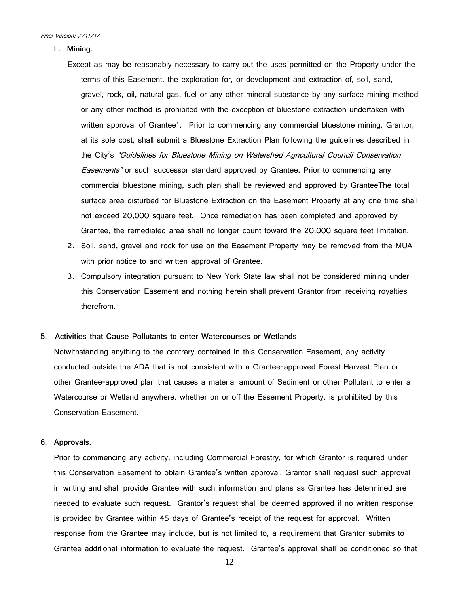**L. Mining.**

Except as may be reasonably necessary to carry out the uses permitted on the Property under the terms of this Easement, the exploration for, or development and extraction of, soil, sand, gravel, rock, oil, natural gas, fuel or any other mineral substance by any surface mining method or any other method is prohibited with the exception of bluestone extraction undertaken with written approval of Grantee1. Prior to commencing any commercial bluestone mining, Grantor, at its sole cost, shall submit a Bluestone Extraction Plan following the guidelines described in the City's "Guidelines for Bluestone Mining on Watershed Agricultural Council Conservation **Easements**" or such successor standard approved by Grantee. Prior to commencing any commercial bluestone mining, such plan shall be reviewed and approved by GranteeThe total surface area disturbed for Bluestone Extraction on the Easement Property at any one time shall not exceed 20,000 square feet. Once remediation has been completed and approved by Grantee, the remediated area shall no longer count toward the 20,000 square feet limitation.

- 2. Soil, sand, gravel and rock for use on the Easement Property may be removed from the MUA with prior notice to and written approval of Grantee.
- 3. Compulsory integration pursuant to New York State law shall not be considered mining under this Conservation Easement and nothing herein shall prevent Grantor from receiving royalties therefrom.
- **5. Activities that Cause Pollutants to enter Watercourses or Wetlands**

Notwithstanding anything to the contrary contained in this Conservation Easement, any activity conducted outside the ADA that is not consistent with a Grantee-approved Forest Harvest Plan or other Grantee-approved plan that causes a material amount of Sediment or other Pollutant to enter a Watercourse or Wetland anywhere, whether on or off the Easement Property, is prohibited by this Conservation Easement.

**6. Approvals.**

Prior to commencing any activity, including Commercial Forestry, for which Grantor is required under this Conservation Easement to obtain Grantee's written approval, Grantor shall request such approval in writing and shall provide Grantee with such information and plans as Grantee has determined are needed to evaluate such request. Grantor's request shall be deemed approved if no written response is provided by Grantee within 45 days of Grantee's receipt of the request for approval. Written response from the Grantee may include, but is not limited to, a requirement that Grantor submits to Grantee additional information to evaluate the request. Grantee's approval shall be conditioned so that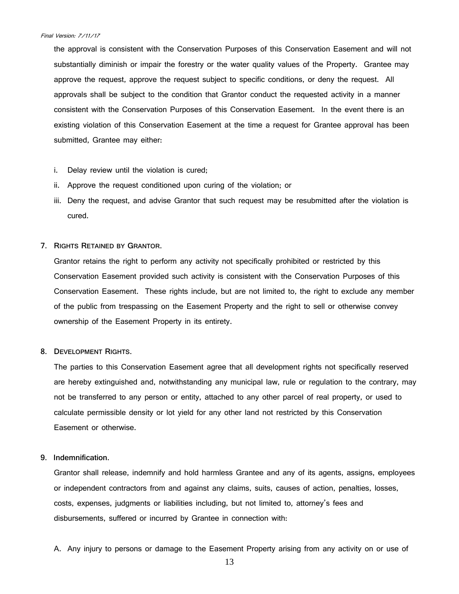the approval is consistent with the Conservation Purposes of this Conservation Easement and will not substantially diminish or impair the forestry or the water quality values of the Property. Grantee may approve the request, approve the request subject to specific conditions, or deny the request. All approvals shall be subject to the condition that Grantor conduct the requested activity in a manner consistent with the Conservation Purposes of this Conservation Easement. In the event there is an existing violation of this Conservation Easement at the time a request for Grantee approval has been submitted, Grantee may either:

- i. Delay review until the violation is cured;
- ii. Approve the request conditioned upon curing of the violation; or
- iii. Deny the request, and advise Grantor that such request may be resubmitted after the violation is cured.

## **7. RIGHTS RETAINED BY GRANTOR.**

Grantor retains the right to perform any activity not specifically prohibited or restricted by this Conservation Easement provided such activity is consistent with the Conservation Purposes of this Conservation Easement. These rights include, but are not limited to, the right to exclude any member of the public from trespassing on the Easement Property and the right to sell or otherwise convey ownership of the Easement Property in its entirety.

#### **8. DEVELOPMENT RIGHTS.**

The parties to this Conservation Easement agree that all development rights not specifically reserved are hereby extinguished and, notwithstanding any municipal law, rule or regulation to the contrary, may not be transferred to any person or entity, attached to any other parcel of real property, or used to calculate permissible density or lot yield for any other land not restricted by this Conservation Easement or otherwise.

## **9. Indemnification.**

Grantor shall release, indemnify and hold harmless Grantee and any of its agents, assigns, employees or independent contractors from and against any claims, suits, causes of action, penalties, losses, costs, expenses, judgments or liabilities including, but not limited to, attorney's fees and disbursements, suffered or incurred by Grantee in connection with:

A. Any injury to persons or damage to the Easement Property arising from any activity on or use of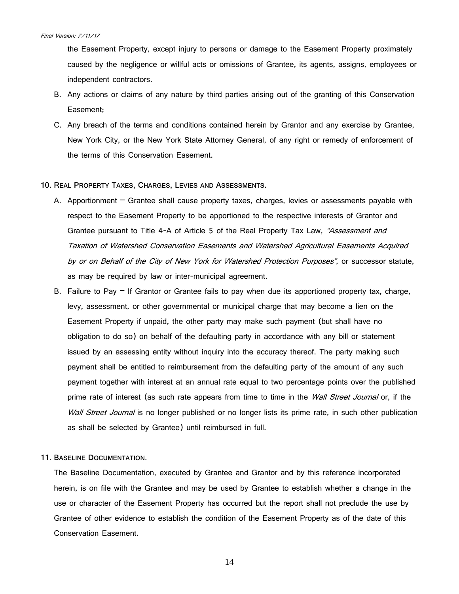the Easement Property, except injury to persons or damage to the Easement Property proximately caused by the negligence or willful acts or omissions of Grantee, its agents, assigns, employees or independent contractors.

- B. Any actions or claims of any nature by third parties arising out of the granting of this Conservation Easement;
- C. Any breach of the terms and conditions contained herein by Grantor and any exercise by Grantee, New York City, or the New York State Attorney General, of any right or remedy of enforcement of the terms of this Conservation Easement.
- **10. REAL PROPERTY TAXES, CHARGES, LEVIES AND ASSESSMENTS.**
	- A. Apportionment Grantee shall cause property taxes, charges, levies or assessments payable with respect to the Easement Property to be apportioned to the respective interests of Grantor and Grantee pursuant to Title 4-A of Article 5 of the Real Property Tax Law, "Assessment and Taxation of Watershed Conservation Easements and Watershed Agricultural Easements Acquired by or on Behalf of the City of New York for Watershed Protection Purposes", or successor statute, as may be required by law or inter-municipal agreement.
	- B. Failure to Pay  $-$  If Grantor or Grantee fails to pay when due its apportioned property tax, charge, levy, assessment, or other governmental or municipal charge that may become a lien on the Easement Property if unpaid, the other party may make such payment (but shall have no obligation to do so) on behalf of the defaulting party in accordance with any bill or statement issued by an assessing entity without inquiry into the accuracy thereof. The party making such payment shall be entitled to reimbursement from the defaulting party of the amount of any such payment together with interest at an annual rate equal to two percentage points over the published prime rate of interest (as such rate appears from time to time in the *Wall Street Journal* or, if the Wall Street Journal is no longer published or no longer lists its prime rate, in such other publication as shall be selected by Grantee) until reimbursed in full.

## **11. BASELINE DOCUMENTATION.**

The Baseline Documentation, executed by Grantee and Grantor and by this reference incorporated herein, is on file with the Grantee and may be used by Grantee to establish whether a change in the use or character of the Easement Property has occurred but the report shall not preclude the use by Grantee of other evidence to establish the condition of the Easement Property as of the date of this Conservation Easement.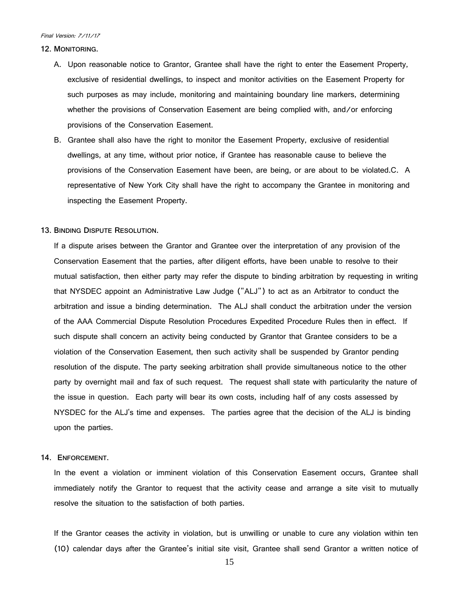#### **12. MONITORING.**

- A. Upon reasonable notice to Grantor, Grantee shall have the right to enter the Easement Property, exclusive of residential dwellings, to inspect and monitor activities on the Easement Property for such purposes as may include, monitoring and maintaining boundary line markers, determining whether the provisions of Conservation Easement are being complied with, and/or enforcing provisions of the Conservation Easement.
- B. Grantee shall also have the right to monitor the Easement Property, exclusive of residential dwellings, at any time, without prior notice, if Grantee has reasonable cause to believe the provisions of the Conservation Easement have been, are being, or are about to be violated.C. A representative of New York City shall have the right to accompany the Grantee in monitoring and inspecting the Easement Property.

# **13. BINDING DISPUTE RESOLUTION.**

If a dispute arises between the Grantor and Grantee over the interpretation of any provision of the Conservation Easement that the parties, after diligent efforts, have been unable to resolve to their mutual satisfaction, then either party may refer the dispute to binding arbitration by requesting in writing that NYSDEC appoint an Administrative Law Judge ("ALJ") to act as an Arbitrator to conduct the arbitration and issue a binding determination. The ALJ shall conduct the arbitration under the version of the AAA Commercial Dispute Resolution Procedures Expedited Procedure Rules then in effect. If such dispute shall concern an activity being conducted by Grantor that Grantee considers to be a violation of the Conservation Easement, then such activity shall be suspended by Grantor pending resolution of the dispute. The party seeking arbitration shall provide simultaneous notice to the other party by overnight mail and fax of such request. The request shall state with particularity the nature of the issue in question. Each party will bear its own costs, including half of any costs assessed by NYSDEC for the ALJ's time and expenses. The parties agree that the decision of the ALJ is binding upon the parties.

## **14. ENFORCEMENT.**

In the event a violation or imminent violation of this Conservation Easement occurs, Grantee shall immediately notify the Grantor to request that the activity cease and arrange a site visit to mutually resolve the situation to the satisfaction of both parties.

If the Grantor ceases the activity in violation, but is unwilling or unable to cure any violation within ten (10) calendar days after the Grantee's initial site visit, Grantee shall send Grantor a written notice of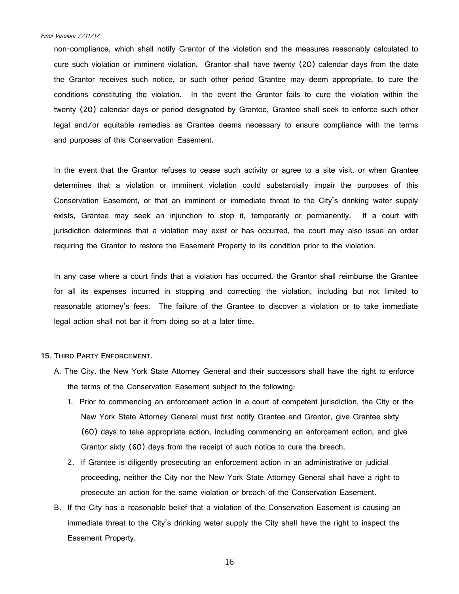non-compliance, which shall notify Grantor of the violation and the measures reasonably calculated to cure such violation or imminent violation. Grantor shall have twenty (20) calendar days from the date the Grantor receives such notice, or such other period Grantee may deem appropriate, to cure the conditions constituting the violation. In the event the Grantor fails to cure the violation within the twenty (20) calendar days or period designated by Grantee, Grantee shall seek to enforce such other legal and/or equitable remedies as Grantee deems necessary to ensure compliance with the terms and purposes of this Conservation Easement.

In the event that the Grantor refuses to cease such activity or agree to a site visit, or when Grantee determines that a violation or imminent violation could substantially impair the purposes of this Conservation Easement, or that an imminent or immediate threat to the City's drinking water supply exists, Grantee may seek an injunction to stop it, temporarily or permanently. If a court with jurisdiction determines that a violation may exist or has occurred, the court may also issue an order requiring the Grantor to restore the Easement Property to its condition prior to the violation.

In any case where a court finds that a violation has occurred, the Grantor shall reimburse the Grantee for all its expenses incurred in stopping and correcting the violation, including but not limited to reasonable attorney's fees. The failure of the Grantee to discover a violation or to take immediate legal action shall not bar it from doing so at a later time.

## **15. THIRD PARTY ENFORCEMENT.**

- A. The City, the New York State Attorney General and their successors shall have the right to enforce the terms of the Conservation Easement subject to the following:
	- 1. Prior to commencing an enforcement action in a court of competent jurisdiction, the City or the New York State Attorney General must first notify Grantee and Grantor, give Grantee sixty (60) days to take appropriate action, including commencing an enforcement action, and give Grantor sixty (60) days from the receipt of such notice to cure the breach.
	- 2. If Grantee is diligently prosecuting an enforcement action in an administrative or judicial proceeding, neither the City nor the New York State Attorney General shall have a right to prosecute an action for the same violation or breach of the Conservation Easement.
- B. If the City has a reasonable belief that a violation of the Conservation Easement is causing an immediate threat to the City's drinking water supply the City shall have the right to inspect the Easement Property.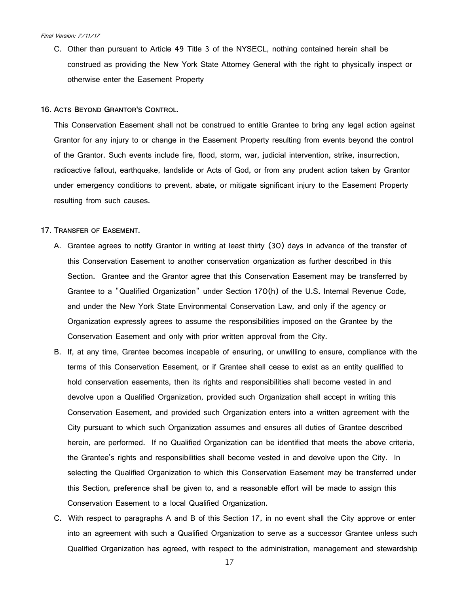- C. Other than pursuant to Article 49 Title 3 of the NYSECL, nothing contained herein shall be construed as providing the New York State Attorney General with the right to physically inspect or otherwise enter the Easement Property
- **16. ACTS BEYOND GRANTOR'S CONTROL.**

This Conservation Easement shall not be construed to entitle Grantee to bring any legal action against Grantor for any injury to or change in the Easement Property resulting from events beyond the control of the Grantor. Such events include fire, flood, storm, war, judicial intervention, strike, insurrection, radioactive fallout, earthquake, landslide or Acts of God, or from any prudent action taken by Grantor under emergency conditions to prevent, abate, or mitigate significant injury to the Easement Property resulting from such causes.

## **17. TRANSFER OF EASEMENT.**

- A. Grantee agrees to notify Grantor in writing at least thirty (30) days in advance of the transfer of this Conservation Easement to another conservation organization as further described in this Section. Grantee and the Grantor agree that this Conservation Easement may be transferred by Grantee to a "Qualified Organization" under Section 170(h) of the U.S. Internal Revenue Code, and under the New York State Environmental Conservation Law, and only if the agency or Organization expressly agrees to assume the responsibilities imposed on the Grantee by the Conservation Easement and only with prior written approval from the City.
- B. If, at any time, Grantee becomes incapable of ensuring, or unwilling to ensure, compliance with the terms of this Conservation Easement, or if Grantee shall cease to exist as an entity qualified to hold conservation easements, then its rights and responsibilities shall become vested in and devolve upon a Qualified Organization, provided such Organization shall accept in writing this Conservation Easement, and provided such Organization enters into a written agreement with the City pursuant to which such Organization assumes and ensures all duties of Grantee described herein, are performed. If no Qualified Organization can be identified that meets the above criteria, the Grantee's rights and responsibilities shall become vested in and devolve upon the City. In selecting the Qualified Organization to which this Conservation Easement may be transferred under this Section, preference shall be given to, and a reasonable effort will be made to assign this Conservation Easement to a local Qualified Organization.
- C. With respect to paragraphs A and B of this Section 17, in no event shall the City approve or enter into an agreement with such a Qualified Organization to serve as a successor Grantee unless such Qualified Organization has agreed, with respect to the administration, management and stewardship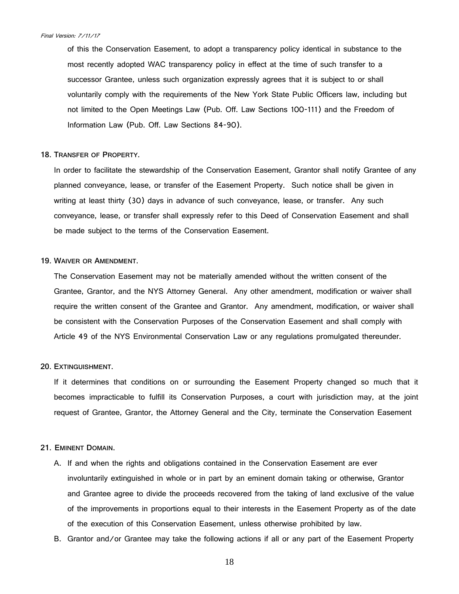of this the Conservation Easement, to adopt a transparency policy identical in substance to the most recently adopted WAC transparency policy in effect at the time of such transfer to a successor Grantee, unless such organization expressly agrees that it is subject to or shall voluntarily comply with the requirements of the New York State Public Officers law, including but not limited to the Open Meetings Law (Pub. Off. Law Sections 100-111) and the Freedom of Information Law (Pub. Off. Law Sections 84-90).

## **18. TRANSFER OF PROPERTY.**

In order to facilitate the stewardship of the Conservation Easement, Grantor shall notify Grantee of any planned conveyance, lease, or transfer of the Easement Property. Such notice shall be given in writing at least thirty (30) days in advance of such conveyance, lease, or transfer. Any such conveyance, lease, or transfer shall expressly refer to this Deed of Conservation Easement and shall be made subject to the terms of the Conservation Easement.

# **19. WAIVER OR AMENDMENT.**

The Conservation Easement may not be materially amended without the written consent of the Grantee, Grantor, and the NYS Attorney General. Any other amendment, modification or waiver shall require the written consent of the Grantee and Grantor. Any amendment, modification, or waiver shall be consistent with the Conservation Purposes of the Conservation Easement and shall comply with Article 49 of the NYS Environmental Conservation Law or any regulations promulgated thereunder.

## **20. EXTINGUISHMENT.**

If it determines that conditions on or surrounding the Easement Property changed so much that it becomes impracticable to fulfill its Conservation Purposes, a court with jurisdiction may, at the joint request of Grantee, Grantor, the Attorney General and the City, terminate the Conservation Easement

## **21. EMINENT DOMAIN.**

- A. If and when the rights and obligations contained in the Conservation Easement are ever involuntarily extinguished in whole or in part by an eminent domain taking or otherwise, Grantor and Grantee agree to divide the proceeds recovered from the taking of land exclusive of the value of the improvements in proportions equal to their interests in the Easement Property as of the date of the execution of this Conservation Easement, unless otherwise prohibited by law.
- B. Grantor and/or Grantee may take the following actions if all or any part of the Easement Property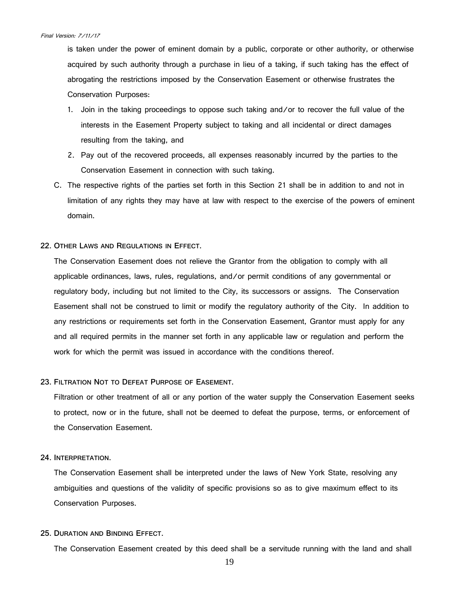is taken under the power of eminent domain by a public, corporate or other authority, or otherwise acquired by such authority through a purchase in lieu of a taking, if such taking has the effect of abrogating the restrictions imposed by the Conservation Easement or otherwise frustrates the Conservation Purposes:

- 1. Join in the taking proceedings to oppose such taking and/or to recover the full value of the interests in the Easement Property subject to taking and all incidental or direct damages resulting from the taking, and
- 2. Pay out of the recovered proceeds, all expenses reasonably incurred by the parties to the Conservation Easement in connection with such taking.
- C. The respective rights of the parties set forth in this Section 21 shall be in addition to and not in limitation of any rights they may have at law with respect to the exercise of the powers of eminent domain.

## **22. OTHER LAWS AND REGULATIONS IN EFFECT.**

The Conservation Easement does not relieve the Grantor from the obligation to comply with all applicable ordinances, laws, rules, regulations, and/or permit conditions of any governmental or regulatory body, including but not limited to the City, its successors or assigns. The Conservation Easement shall not be construed to limit or modify the regulatory authority of the City. In addition to any restrictions or requirements set forth in the Conservation Easement, Grantor must apply for any and all required permits in the manner set forth in any applicable law or regulation and perform the work for which the permit was issued in accordance with the conditions thereof.

## **23. FILTRATION NOT TO DEFEAT PURPOSE OF EASEMENT.**

Filtration or other treatment of all or any portion of the water supply the Conservation Easement seeks to protect, now or in the future, shall not be deemed to defeat the purpose, terms, or enforcement of the Conservation Easement.

## **24. INTERPRETATION.**

The Conservation Easement shall be interpreted under the laws of New York State, resolving any ambiguities and questions of the validity of specific provisions so as to give maximum effect to its Conservation Purposes.

# **25. DURATION AND BINDING EFFECT.**

The Conservation Easement created by this deed shall be a servitude running with the land and shall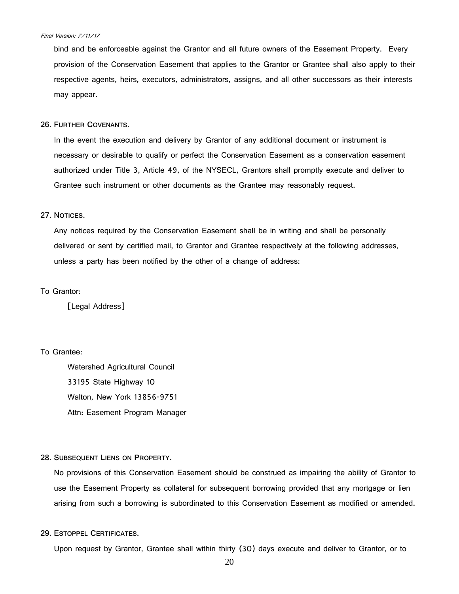bind and be enforceable against the Grantor and all future owners of the Easement Property. Every provision of the Conservation Easement that applies to the Grantor or Grantee shall also apply to their respective agents, heirs, executors, administrators, assigns, and all other successors as their interests may appear.

#### **26. FURTHER COVENANTS.**

In the event the execution and delivery by Grantor of any additional document or instrument is necessary or desirable to qualify or perfect the Conservation Easement as a conservation easement authorized under Title 3, Article 49, of the NYSECL, Grantors shall promptly execute and deliver to Grantee such instrument or other documents as the Grantee may reasonably request.

## **27. NOTICES.**

Any notices required by the Conservation Easement shall be in writing and shall be personally delivered or sent by certified mail, to Grantor and Grantee respectively at the following addresses, unless a party has been notified by the other of a change of address:

## To Grantor:

[Legal Address]

# To Grantee:

Watershed Agricultural Council 33195 State Highway 10 Walton, New York 13856-9751 Attn: Easement Program Manager

## **28. SUBSEQUENT LIENS ON PROPERTY.**

No provisions of this Conservation Easement should be construed as impairing the ability of Grantor to use the Easement Property as collateral for subsequent borrowing provided that any mortgage or lien arising from such a borrowing is subordinated to this Conservation Easement as modified or amended.

# **29. ESTOPPEL CERTIFICATES.**

Upon request by Grantor, Grantee shall within thirty (30) days execute and deliver to Grantor, or to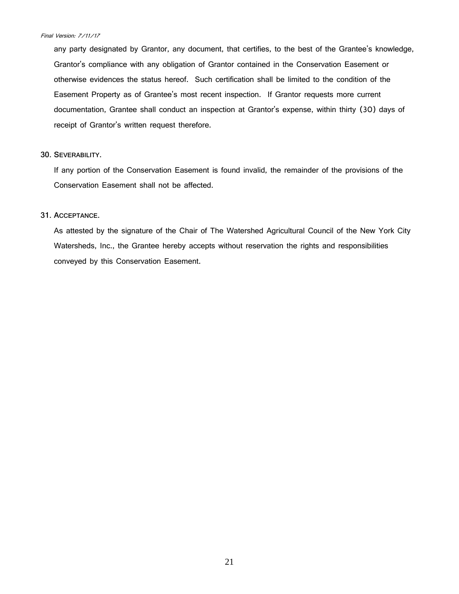any party designated by Grantor, any document, that certifies, to the best of the Grantee's knowledge, Grantor's compliance with any obligation of Grantor contained in the Conservation Easement or otherwise evidences the status hereof. Such certification shall be limited to the condition of the Easement Property as of Grantee's most recent inspection. If Grantor requests more current documentation, Grantee shall conduct an inspection at Grantor's expense, within thirty (30) days of receipt of Grantor's written request therefore.

## **30. SEVERABILITY.**

If any portion of the Conservation Easement is found invalid, the remainder of the provisions of the Conservation Easement shall not be affected.

# **31. ACCEPTANCE.**

As attested by the signature of the Chair of The Watershed Agricultural Council of the New York City Watersheds, Inc., the Grantee hereby accepts without reservation the rights and responsibilities conveyed by this Conservation Easement.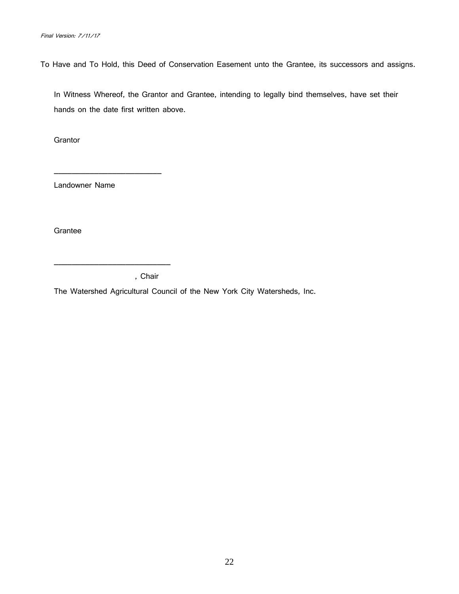To Have and To Hold, this Deed of Conservation Easement unto the Grantee, its successors and assigns.

In Witness Whereof, the Grantor and Grantee, intending to legally bind themselves, have set their hands on the date first written above.

**Grantor** 

Landowner Name

\_\_\_\_\_\_\_\_\_\_\_\_\_\_\_\_\_\_\_\_\_\_\_\_

\_\_\_\_\_\_\_\_\_\_\_\_\_\_\_\_\_\_\_\_\_\_\_\_\_\_

**Grantee** 

, Chair

The Watershed Agricultural Council of the New York City Watersheds, Inc.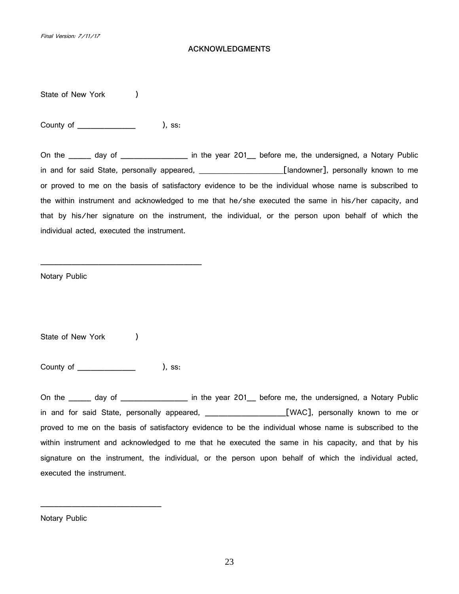# **ACKNOWLEDGMENTS**

State of New York (a)

County of  $\qquad \qquad$ ), ss:

On the \_\_\_\_\_ day of \_\_\_\_\_\_\_\_\_\_\_\_\_\_\_\_ in the year 201\_\_ before me, the undersigned, a Notary Public in and for said State, personally appeared, **\_\_\_\_\_\_\_\_\_\_\_\_\_\_\_\_\_\_\_\_\_\_**[landowner], personally known to me or proved to me on the basis of satisfactory evidence to be the individual whose name is subscribed to the within instrument and acknowledged to me that he/she executed the same in his/her capacity, and that by his/her signature on the instrument, the individual, or the person upon behalf of which the individual acted, executed the instrument.

Notary Public

State of New York (a)

County of \_\_\_\_\_\_\_\_\_\_\_\_\_ ), ss:

\_\_\_\_\_\_\_\_\_\_\_\_\_\_\_\_\_\_\_\_\_\_\_\_\_\_\_

\_\_\_\_\_\_\_\_\_\_\_\_\_\_\_\_\_\_\_\_\_\_\_\_\_\_\_\_\_\_\_\_\_\_\_\_

On the \_\_\_\_\_ day of \_\_\_\_\_\_\_\_\_\_\_\_\_\_\_\_ in the year 201\_\_ before me, the undersigned, a Notary Public in and for said State, personally appeared, \_\_\_\_\_\_\_\_\_\_\_\_\_\_\_\_\_\_[WAC], personally known to me or proved to me on the basis of satisfactory evidence to be the individual whose name is subscribed to the within instrument and acknowledged to me that he executed the same in his capacity, and that by his signature on the instrument, the individual, or the person upon behalf of which the individual acted, executed the instrument.

Notary Public